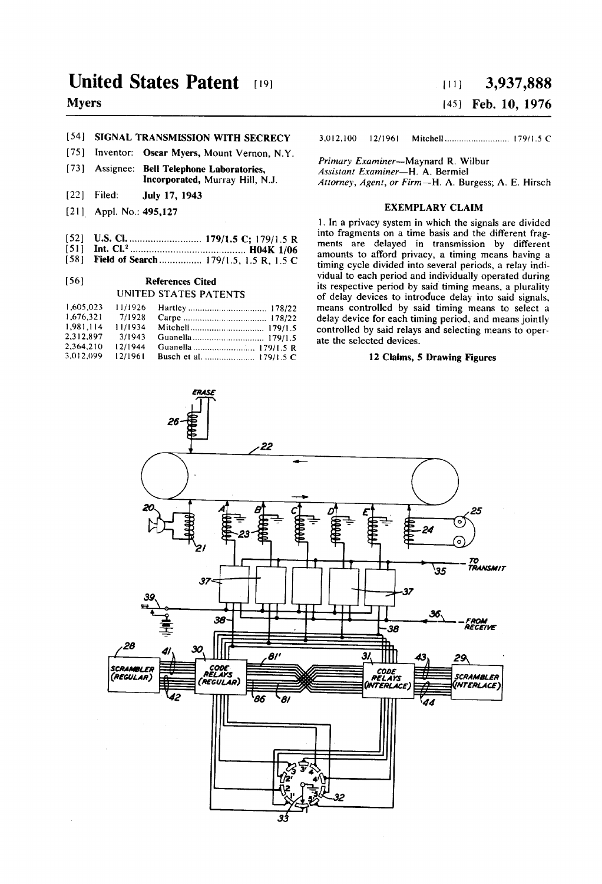# United States Patent [19]

# Myers

## [54] SIGNAL TRANSMISSION WITH SECRECY

- [75] Inventor: Oscar Myers, Mount Vernon, N.Y.
- [73] Assignee: Bell Telephone Laboratories, Incorporated, Murray Hill, NJ.
- [22] Filed: July 17, 1943
- [21] Appl. No.: 495,127
- [52] US. Cl. ......................... .. 179/1.5 C; 179/15 R
- [51] Int. Cl.2 ......................................... .. H04K l/06 [58] Field of Search ................ 179/1.5, 1.5 R, 1.5 C

# [56] References Cited

# UNITED STATES PATENTS

| 1.605.023 | 11/1926 |  |
|-----------|---------|--|
| 1.676.321 | 7/1928  |  |
| 1.981.114 | 11/1934 |  |
| 2.312.897 | 3/1943  |  |
| 2.364.210 | 12/1944 |  |
| 3.012.099 | 12/1961 |  |

### [19] 3,937,888 Feb. 10, 1976 1451  $[11]$

3.012.100 12/1961 Mitchell ......................... .. l79/1.5 C

Primary Examiner-Maynard R. Wilbur Assistant Examiner-H. A. Bermiel Attorney, Agent, or Firm—H. A. Burgess; A. E. Hirsch

#### EXEMPLARY CLAIM

1. In a privacy system in which the signals are divided into fragments on a time basis and the different frag ments are delayed in transmission by different amounts to afford privacy, a timing means having a timing cycle divided into several periods, a relay indi vidual to each period and individually operated during its respective period by said timing means, a plurality of delay devices to introduce delay into said signals, means controlled by said timing means to select a delay device for each timing period, and means jointly controlled by said relays and selecting means to oper ate the selected devices.

### 12 Claims, 5 Drawing Figures

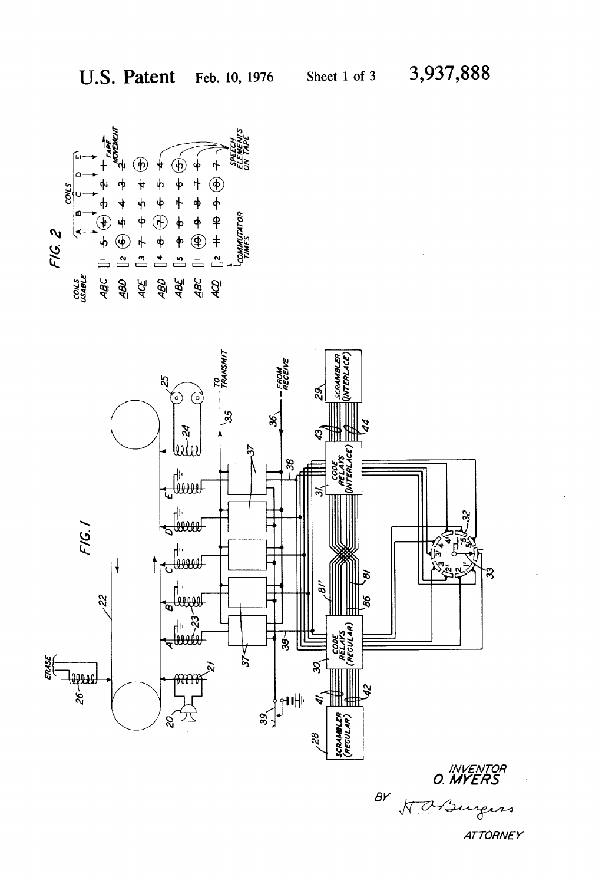

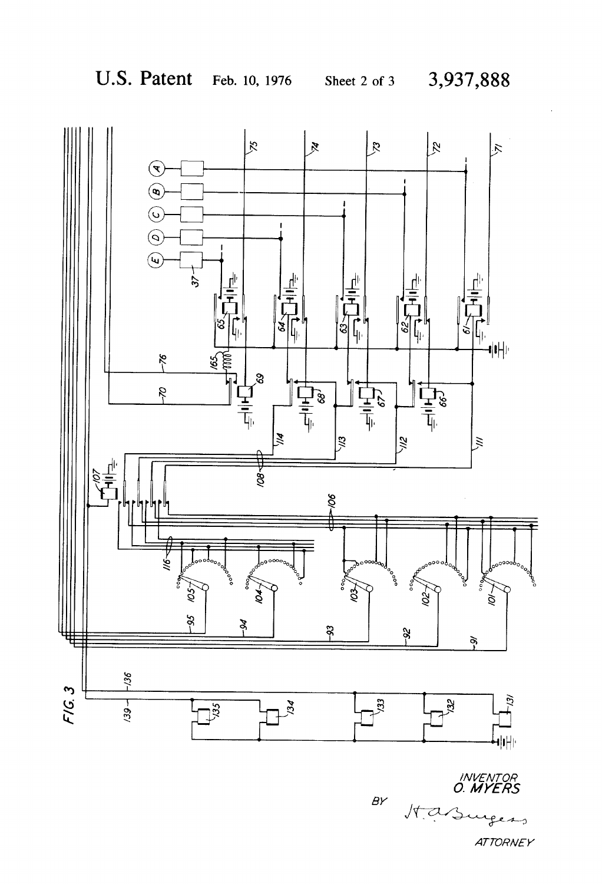

INVENTOR<br>O. MYERS  $BY$ Hasurers **ATTORNEY**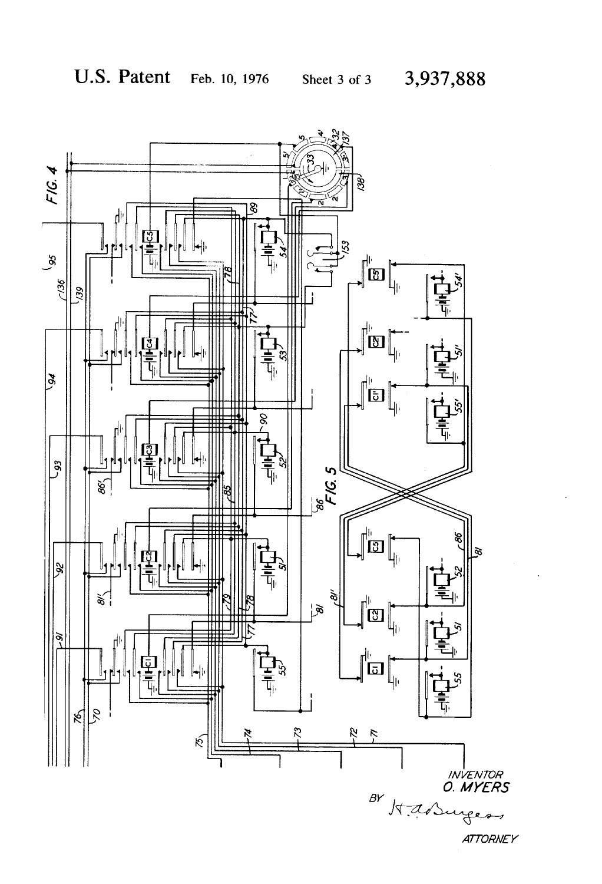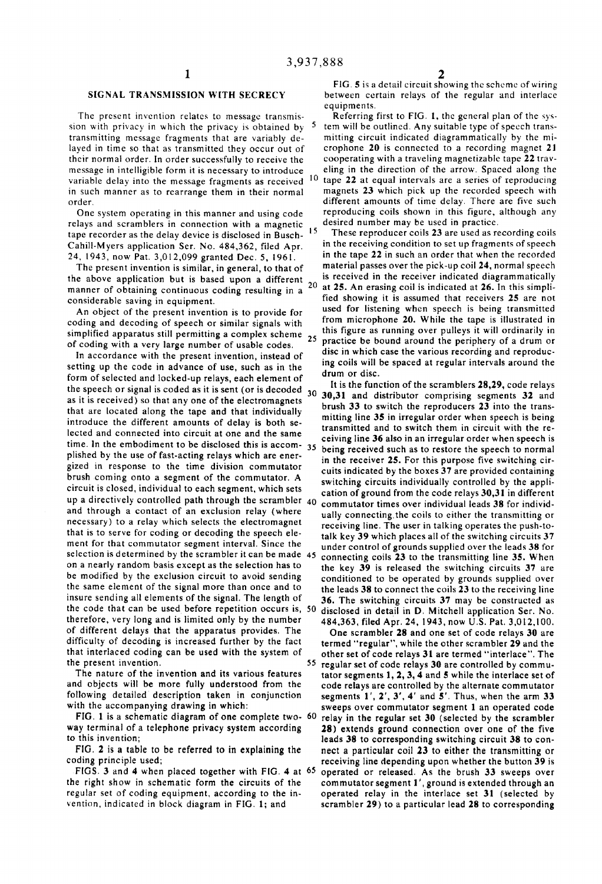## SIGNAL TRANSMISSION WITH SECRECY

The present invention relates to message transmis sion with privacy in which the privacy is obtained by  $5$ transmitting message fragments that are variably de layed in time so that as transmitted they occur out of their normal order. In order successfully to receive the message in intelligible form it is necessary to introduce in such manner as to rearrange them in their normal order.

One system operating in this manner and using code relays and scramblers in connection with a magnetic tape recorder as the delay device is disclosed in Busch-Cahill-Myers application Ser. No. 484,362, filed Apr. 24, 1943, now Pat. 3,012,099 granted Dec. 5, 1961.

The present invention is similar, in general, to that of the above application but is based upon a different manner of obtaining continuous coding resulting in a considerable saving in equipment.

An object of the present invention is to provide for coding and decoding of speech or similar signals with simplified apparatus still permitting a complex scheme 25 of coding with a very large number of usable codes.

In accordance with the present invention, instead of setting up the code in advance of use, such as in the form of selected and locked-up relays, each element of the speech or signal is coded as it is sent (or is decoded that are located along the tape and that individually introduce the different amounts of delay is both se lected and connected into circuit at one and the same time. In the embodiment to be disclosed this is accom- $35$ plished by the use of fast-acting relays which are ener gized in response to the time division commutator brush coming onto a segment of the commutator. A circuit is closed, individual to each segment, which sets up a directively controlled path through the scrambler  $40$ and through a contact of an exclusion relay (where necessary) to a relay which selects the electromagnet that is to serve for coding or decoding the speech ele ment for that commutator segment interval. Since the selection is determined by the scrambler it can be made 45 on a nearly random basis except as the selection has to be modified by the exclusion circuit to avoid sending the same element of the signal more than once and to insure sending all elements of the signal. The length of the code that can be used' before repetition occurs is, 50 therefore, very long and is limited only by the number of different delays that the apparatus provides. The difficulty of decoding is increased further by the fact that interlaced coding can be used with the system of the present invention.

The nature of the invention and its various features and objects will be more fully understood from the following detailed description taken in conjunction with the accompanying drawing in which:

FIG. 1 is a schematic diagram of one complete two-  $60$ way terminal of a telephone privacy system according to this invention;

FIG. 2 is a table to be referred to in explaining the coding principle used;

FIGS. 3 and 4 when placed together with FIG. 4 at 65 the right show in schematic form the circuits of the regular set of coding equipment, according to the invention, indicated in block diagram in FIG. I; and

FIG.  $5$  is a detail circuit showing the scheme of wiring between certain relays of the regular and interlacc equipments.

variable delay into the message fragments as received <sup>10</sup> tape 22 at equal intervals are a series of reproducing Referring first to FIG. 1, the general plan of the system will be outlined. Any suitable type of speech transmitting circuit indicated diagrammatically by the mi crophone 20 is connected to a recording magnet 21 cooperating with a traveling magnetizable tape 22 trav eling in the direction of the arrow. Spaced along the magnets 23 which pick up the recorded speech with different amounts of time delay. There are five such reproducing coils shown in this figure, although any desired number may be used in practice.

These reproducer coils 23 are used as recording coils in the receiving condition to set up fragments of speech in the tape 22 in such an order that when the recorded material passes over the pick-up coil 24, normal speech is received in the receiver indicated diagrammatically  $20$  at 25. An erasing coil is indicated at 26. In this simplified showing it is assumed that receivers 25 are not used for listening when speech is being transmitted from microphone 20. While the tape is illustrated in this figure as running over pulleys it will ordinarily in practice be bound around the periphery of a drum or disc in which case the various recording and reproduc ing coils will be spaced at regular intervals around the drum or disc.

the speech or signal is coded as it is sent (or is decoded  $\frac{30}{30}$ , 30,31 and distributor comprising segments 32 and as it is received) so that any one of the electromagnets  $\frac{1}{2}$ , the function of the scramblers 2 30,31 and distributor comprising segments 32 and brush 33 to switch the reproducers 23 into the trans mitting line 35 in irregular order when speech is being transmitted and to switch them in circuit with the re ceiving line 36 also in an irregular order when speech is being received such as to restore the speech to normal in the receiver 25. For this purpose five switching cir cuits indicated by the boxes 37 are provided containing switching circuits individually controlled by the appli

cation of ground from the code relays 30,31 in different commutator times over individual leads 38 for individ ually connecting the coils to either the transmitting or receiving line. The user in talking operates the push-to talk key 39 which places all of the switching circuits 37 under control of grounds supplied over the leads 38 for connecting coils 23 to the transmitting line 35. When the key 39 is released the switching circuits 37 are conditioned to be operated by grounds supplied over the leads 38 to connect the coils 23 to the receiving line 36. The switching circuits 37 may be constructed as

disclosed in detail in D. Mitchell application Ser. No. 484,363, filed Apr. 24, 1943, now U.S. Pat. 3,012,100. One scrambler 28 and one set of code relays 30 are termed "regular", while the other scrambler 29 and the other set of code relays 31 are termed "interlace". The 55 regular set of code relays 30 are controlled by commutator segments 1, 2, 3, 4 and 5 while the interlace set of code relays are controlled by the alternate commutator segments 1', 2', 3', 4' and 5'. Thus, when the arm 33 sweeps over commutator segment 1 an operated code relay in the regular set 30 (selected by the scrambler 28) extends ground connection over one of the five leads 38 to corresponding switching circuit 38 to con nect a particular coil 23 to either the transmitting or receiving line depending upon whether the button 39 is operated or released. As the brush 33 sweeps over commutator segment 1', ground is extended through an operated relay in the interlacc set 31 (selected by scrambler 29) to a particular lead 28 to corresponding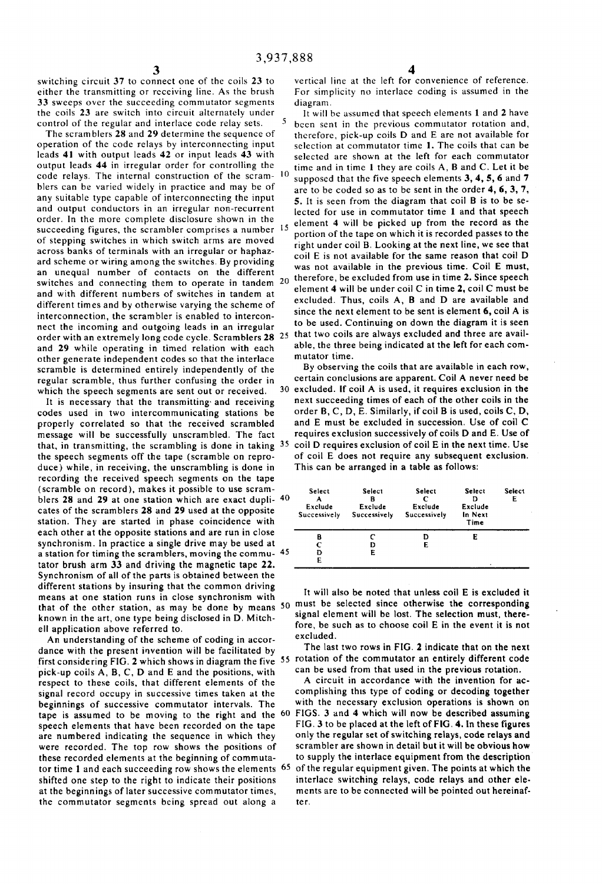switching circuit 37 to connect one of the coils 23 to either the transmitting or receiving line. As the brush 33 sweeps over the succeeding commutator segments the coils 23 are switch into circuit alternately under control of the regular and interlace code relay sets.

The scram blers 28 and 29 determine the sequence of operation of the code relays by interconnecting input leads 4] with output leads 42 or input leads 43 with output leads 44 in irregular order for controlling the code relays. The internal construction of the scram- 10 blers can be varied widely in practice and may be of any suitable type capable of interconnecting the input and output conductors in an irregular non-recurrent order. In the more complete disclosure shown in the succeeding figures, the scrambler comprises a number 15 of stepping switches in which switch arms are moved across banks of terminals with an irregular or haphaz ard scheme or wiring among the switches. By providing an unequal number of contacts on the different switches and connecting them to operate in tandem  $20$ and with different numbers of switches in tandem at different times and by otherwise varying the scheme of interconnection, the scrambler is enabled to intercon nect the incoming and outgoing leads in an irregular order with an extremely long code cycle. Scramblers 28 25 that two coils are always excluded and three are availand 29 while operating in timed relation with each other generate independent codes so that the interlace scramble is determined entirely independently of the regular scramble, thus further confusing the order in 30 which the speech segments are sent out or received.

It is necessary that the transmitting and receiving codes used in two intercommunicating stations be properly correlated so that the received scrambled message will be successfully unscrambled. The fact that, in transmitting, the scrambling is done in taking 35 the speech segments off the tape (scramble on repro duce) while, in receiving, the unscrambling is done in recording the received speech segments on the tape (scramble on record), makes it possible to use scram blers 28 and 29 at one station which are exact dupli-40 cates of the scramblers 28 and 29 used at the opposite station. They are started in phase coincidence with each other at the opposite stations and are run in close synchronism. In practice a single drive may be used at a station for timing the scramblers, moving the commu- 45 tator brush arm 33 and driving the magnetic tape 22. Synchronism of all of the parts is obtained between the different stations by insuring that the common driving means at one station runs in close synchronism with that of the other station, as may be done by means 50 must be selected since otherwise the corresponding known in the art, one type being disclosed in D. Mitch ell application above referred to.

An understanding of the scheme of coding in accor dance with the present invention will be facilitated by first considering FIG. 2 which shows in diagram the five 55 rotation of the commutator an entirely different code pick-up coils A, B, C, D and E and the positions, with respect to these coils, that different elements of the signal record occupy in successive times taken at the beginnings of successive commutator intervals. The tape is assumed to be moving to the right and the FIGS. 3 and 4 which will now be described assuming speech elements that have been recorded on the tape are numbered indicating the sequence in which they were recorded. The top row shows the positions of these recorded elements at the beginning of commuta tor time I and each succeeding row shows the elements 65 shifted one step to the right to indicate their positions at the beginnings of later successive commutator times, the commutator segments being spread out along a

vertical line at the left for convenience of reference. For simplicity no interlace coding is assumed in the diagram.

It will be assumed that speech elements 1 and 2 have been sent in the previous commutator rotation and, therefore, pick-up coils D and E are not available for selection at commutator time 1. The coils that can be selected are shown at the left for each commutator time and in time 1 they are coils A, B and C. Let it be supposed that the five speech elements 3, 4, 5, 6 and 7 are to be coded so as to be sent in the order 4, 6, 3, 7, 5. It is seen from the diagram that coil B is to be se lected for use in commutator time 1 and that speech element 4 will be picked up from the record as the portion of the tape on which it is recorded passes to the right under coil B. Looking at the next line, we see that coil E is not available for the same reason that coil D was not available in the previous time. Coil E must, therefore, be excluded from use in time 2. Since speech element 4 will be under coil C in time 2, coil C must be excluded. Thus, coils A, B and D are available and since the next element to be sent is element 6, coil A is to be used. Continuing on down the diagram it is seen able, the three being indicated at the left for each com mutator time.

By observing the coils that are available in each row, certain conclusions are apparent. Coil A never need be excluded. If coil A is used, it requires exclusion in the next succeeding times of each of the other coils in the order B, C, D, E. Similarly, if coil B is used, coils C, D, and E must be excluded in succession. Use of coil C requires exclusion successively of coils D and E. Use of coil D requires exclusion of coil E in the next time. Use of coil E does not require any subsequent exclusion. This can be arranged in a table as follows:

| Select<br>А<br>Exclude<br>Successively | Select<br>в<br>Exclude<br>Successively | <b>Select</b><br>с<br>Exclude<br>Successively | <b>Select</b><br>Exclude<br>In Next<br>Time | <b>Select</b><br>E |
|----------------------------------------|----------------------------------------|-----------------------------------------------|---------------------------------------------|--------------------|
| в<br>C<br>D<br>E                       | E                                      | D<br>Е                                        | E                                           |                    |

it will also be noted that unless coil E is excluded it signal element will be lost. The selection must, therefore, be such as to choose coil E in the event it is not excluded.

The last two rows in FIG. 2 indicate that on the next can be used from that used in the previous rotation.

A circuit in accordance with the invention for ac complishing this type of coding or decoding together with the necessary exclusion operations is shown on FIG. 3 to be placed at the left of FIG. 4. In these figures only the regular set of switching relays, code relays and scrambler are shown in detail but it will be obvious how to supply the interlace equipment from the description of the regular equipment given. The points at which the interlace switching relays, code relays and other ele ments are to be connected will be pointed out hereinaf ter.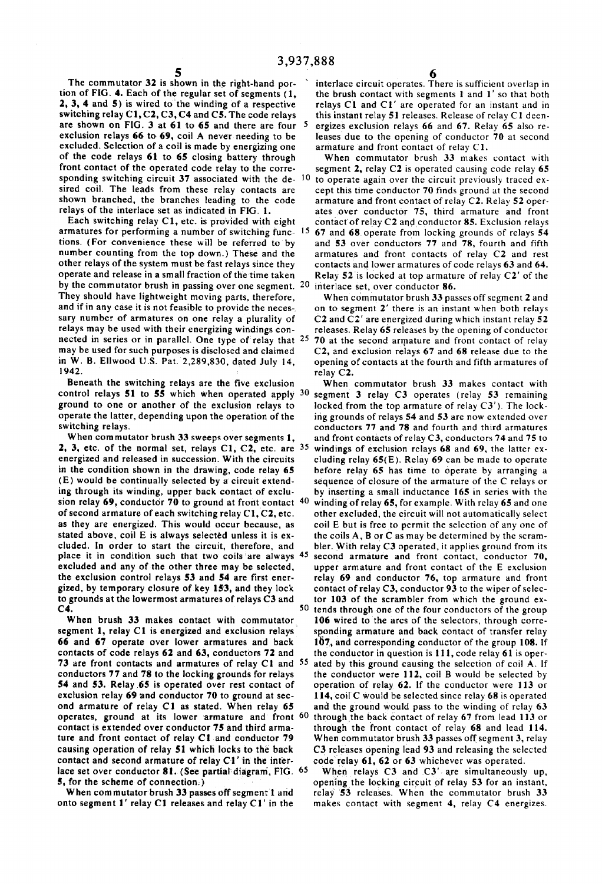The commutator 32 is shown in the right-hand por tion of FIG. 4. Each of the regular set of segments (1, 2, 3, 4 and 5) is wired to the winding of a respective switching relay C1, C2, C3, C4 and C5. The code relays are shown on FIG. 3 at 61 to 65 and there are four exclusion relays 66 to 69, coil A never needing to be excluded. Selection of a coil is made by energizing one of the code relays 61 to 65 closing battery through front contact of the operated code relay to the corre sponding switching circuit 37 associated with the de-10 sired coil. The leads from these relay contacts are shown branched, the branches leading to the code relays of the interlace set as indicated in FIG. 1.

Each switching relay Cl, etc. is provided with eight armatures for performing a number of switching func- 15 tions. (For convenience these will be referred to by number counting from the top down.) These and the other relays of the system must be fast relays since they operate and release in a small fraction of the-time taken by the commutator brush in passing over one segment. 20 They should have lightweight moving parts, therefore, and if in any case it is not feasible to provide the neces-. sary number of armatures on one relay a plurality of relays may be used with their energizing windings conmay be used for such purposes is disclosed and claimed in W. B. Ellwood U.S. Pat. 2,289,830, dated July 14, 1942.

Beneath the switching relays are the five exclusion control relays 51 to 55 which when operated apply  $30$ ground to one or another of the exclusion relays to operate the latter, depending upon the operation of the switching relays.

When commutator brush 33 sweeps over segments 1, 2, 3, etc. of the normal set, relays  $C1$ ,  $C2$ , etc. are  $35$ energized and released in succession. With the circuits in the condition shown in the drawing, code relay 65 (E) would be continually selected by a circuit extend ing through its winding, upper back contact of exclu sion relay 69, conductor 70 to ground at front contact  $\frac{40}{ }$ of second armature of each switching relay C1, C2, etc. as they are energized. This would occur because, as stated above, coil E is always selected unless it is ex cluded. in order to start the circuit, therefore, and place it in condition such that two coils'are always 45 excluded and any of the other three may be selected, the exclusion control relays 53 and 54 are first ener gized, by temporary closure of key 153, and they lock to grounds at the lowermost armatures of relays C3 and C4.

When brush 33 makes contact with commutator segment I, relay Cl is energized and exclusion relays 66 and 67 operate over lower armatures and back contacts of code relays 62 and 63, conductors 72 and 73 are front contacts and armatures of relay C1 and <sup>55</sup> conductors 77 and 78 to the locking grounds for relays 54 and 53. Relay 65 is operated over rest contact of exclusion relay 69 and conductor 70 to ground at second armature of relay Cl as stated. When relay 65 operates, ground at its lower armature and front 60 contact is extended over conductor 75 and third arma ture and front contact of relay C1 and conductor 79 causing operation of relay 51 which locks to the back contact and second armature of relay C1' in the inter lace set over conductor 81. (See partial diagram, FIG. 65 5, for the scheme of connection.)

When commutator brush 33 passes off segment 1 and onto segment 1' relay Cl releases and relay Cl' in the

interlace circuit operates. There is sufficient overlap in the brush contact with segments 1 and 1' so that both relays Cl and C1' are operated for an instant and in this instant relay 51 releases. Release of relay C1 deenergizes exclusion relays 66 and 67. Relay 65 also re leases due to the opening of conductor 70 at second armature and front contact of relay Cl.

When commutator brush 33 makes contact with segment 2, relay C2 is operated causing code relay 65 to operate again over the circuit previously traced ex~ cept this time conductor 70 finds ground at the second armature and front contact of relay C2. Relay 52 oper ates over conductor 75, third armature and front contact of relay C2 and conductor 85. Exclusion relays 67 and 68.0perate from locking grounds of relays 54 and 53 over conductors 77 and 78, fourth and fifth armatures and front contacts of relay C2 and rest contacts and lower armatures of code relays 63 and 64. Relay 52'is locked at top armature of relay C2' of the interlace set, over conductor 86.

relays may be used with their energizing windings con-<br>nected in series or in parallel. One type of relay that <sup>25</sup> 70 at the second armature and front contact of relay When commutator brush  $33$  passes off segment  $2$  and on to segment  $2'$  there is an instant when both relays C2 and C2' are energized during which instant relay 52 releases. Relay 65 releases by the opening of conductor C2, and exclusion relays 67 and 68 release due to the opening of contacts at the fourth and fifth armatures of relay C2.

> <sup>50</sup> tends through one of the four conductors of the group When commutator brush 33 makes contact with segment 3 relay C3 operates (relay 53 remaining locked from the top armature of relay C3'). The lock ing grounds of relays 54 and 53 are now extended over conductors 77 and 78 and fourth and third armatures and front contacts of relay C3, conductors 74 and 75 to windings of exclusion relays 68 and 69, the latter ex cluding relay 65(E). Relay 69 can be made to operate before relay 65 has time to operate by arranging a sequence of closure of the armature of the C relays or by inserting a small inductance 165 in series with the winding of relay 65, for example. With relay 65 and one other excluded, the circuit will not automatically select coil E but is free to permit the selection of any one of the coils A, B or C as may be determined by the scram bler. With relay C3 operated, it applies ground from its second armature and front contact, conductor 70, upper armature and front contact of the E exclusion relay 69 and conductor 76, top armature and front contact of relay C3, conductor 93 to the wiper of selec tor 103 of the scrambler from which the ground ex 106 wired to the arcs of the selectors, through corresponding armature and back contact of transfer relay I07, and corresponding conductor of the group 108. If the conductor in question is  $111$ , code relay 61 is operated by this ground causing the selection of coil A. If the conductor were 112, coil 8 would be selected by operation of relay 62. If the conductor were 113 or 114, coil'C would be selected since relay 68 is operated and the ground would pass to the winding of relay 63 through the back contact of relay 67 from lead 113 or through the front contact of relay 68 and lead 114. When commutator brush 33 passes off segment 3, relay C3 releases opening lead 93 and releasing the selected code relay 61, 62 or 63 whichever was operated.

When relays C3 and C3' are simultaneously up, opening the locking circuit of relay 53 for an instant, relay '53 releases. When the commutator brush 33 makes contact with segment 4, relay C4 energizes.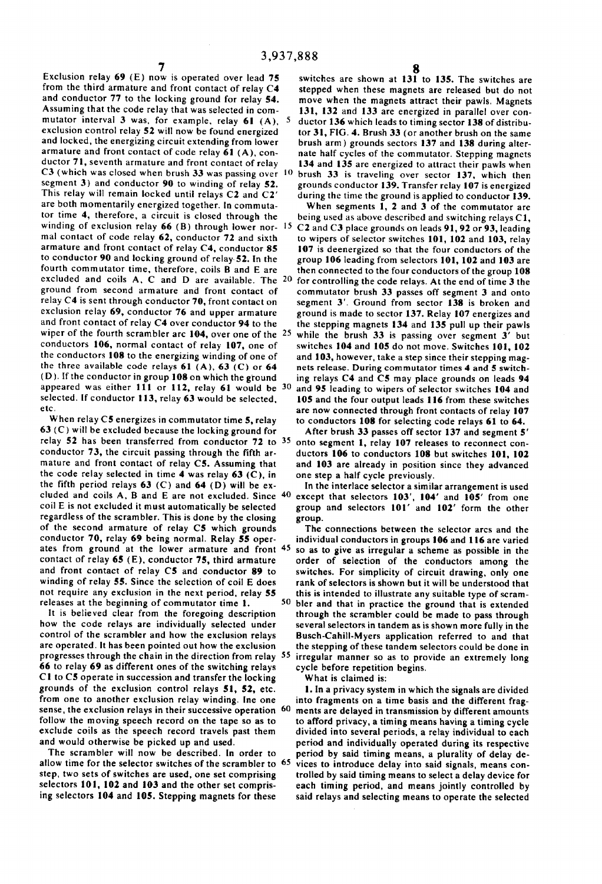Exclusion relay 69 (E) now is operated over lead 75 from the third armature and front contact of relay C4 and conductor 77 to the locking ground for relay 54. Assuming that the code relay that was selected in com mutator interval 3 was, for example, relay  $61$  (A), 5 exclusion control relay 52 will now be found energized and locked, the energizing circuit extending from lower armature and front contact of code relay 6] (A), con ductor 7I, seventh armature and front contact of relay C3 (which was closed when brush 33 was passing over 10 segment 3) and conductor 90 to winding of relay 52. This relay will remain locked until relays C2 and C2' are both momentarily energized together. In commuta tor time 4, therefore, a circuit is closed through the winding of exclusion relay 66 (B) through lower nor- 15 mal contact of code relay 62, conductor 72 and sixth armature and front contact of relay C4, conductor 85 to conductor 90 and locking ground of relay-52. In the fourth commutator time, therefore, coils B and E are excluded and coils A, C and D are available. The 20 ground from second armature and front contact of relay C4 is sent through conductor 70, front contact on exclusion relay 69, conductor 76 and upper armature and front contact of relay C4 over conductor 94 to the wiper of the fourth scrambler arc 104, over one of the <sup>25</sup> conductors I06, normal contact of relay I07, one of the conductors I08 to the energizing winding of one of the three available code relays  $61$  (A),  $63$  (C) or  $64$ (D). If the conductor in group 108 on which the ground appeared was either 111 or 112, relay 61 would be 30 selected. If conductor 113, relay 63 would be selected, etc.

When relay C5 energizes in commutator time 5, relay 63 (C) will be excluded because the locking ground for relay 52 has been transferred from conductor 72 to 35 conductor 73, the circuit passing through the fifth ar mature and front contact of relay C5. Assuming that the code relay selected in time 4 was relay  $63$  (C), in the fifth period relays  $63$  (C) and  $64$  (D) will be excluded and coils A, B and E are not excluded. Since 40 coil E is not excluded it must automatically be selected regardless of the scrambler. This is done by the closing of the second armature of relay C5 which grounds conductor 70, relay 69 being normal. Relay 55 oper ates from ground at the lower armature and front 45 contact of relay 65 (E), conductor 75, third armature and front contact of relay C5 and conductor 89 to winding of relay 55. Since the selection of coil E does not require any exclusion in the next period, relay 55 releases at the beginning of commutator time I. 50

It is believed clear from the foregoing description how the code relays are individually selected under control of the scrambler and how the exclusion relays are operated. It has been pointed out how the exclusion progresses through the chain in the direction from relay 55 66 to relay 69 as different ones of the switching relays CI to C5 operate in succession and transfer the locking grounds of the exclusion control relays SI, 52, etc. from one to another exclusion relay winding. Inc one sense, the exclusion relays in their successive operation 60 follow the moving speech record on the tape so as to exclude coils as the speech record travels past them and would otherwise be picked up and used.

The scrambler will now be described. In order to allow time for the selector switches of the scrambler to 65 step, two sets of switches are used, one set comprising selectors 101, 102 and 103 and the other set comprising selectors I04 and 105. Stepping magnets for these

switches are shown at I31 to I35. The switches are stepped when these magnets are released but do not move when the magnets attract their pawls. Magnets I31, I32 and I33 are energized in parallel over con ductor 136 which leads to timing sector I38 of distribu tor 31, FIG. 4. Brush 33 (or another brush on the same brush arm) grounds sectors I37 and I38 during alter nate half cycles of the commutator. Stepping magnets I34 and I35 are energized to attract their pawls when brush 33 is traveling over sector I37, which then grounds conductor I39. Transfer relay I07 is energized during the time the ground is applied to conductor I39.

When segments I, 2 and 3 of the commutator are being used as above described and switching relays C1, C2 and C3 place grounds on leads 9], 92 or 93, leading to wipers of selector switches I01, 102 and 103, relay I07 is deenergized so that the four conductors of the group I06 leading from selectors IOI, I02 and I03 are then connected to the four conductors of the group 108 for controlling the code relays. At the end of time 3 the commutator brush 33 passes off segment 3 and onto segment 3'. Ground from sector I38 is broken and ground is made to sector I37. Relay I07 energizes and the stepping magnets I34 and 135 pull up their pawls while the brush 33 is passing over segment 3' but switches I04 and 105 do not move. Switches I01, I02 and I03, however, take a step since their stepping mag nets release. During commutator times 4 and 5 switch ing relays C4 and C5 may place grounds on leads 94 and 95 leading to wipers of selector switches I04 and I05 and the four output leads II6 from these switches are now connected through front contacts of relay I07 to conductors I08 for selecting code relays 61 to 64.

After brush 33 passes off sector I37 and segment 5' onto segment I, relay I07 releases to reconnect con ductors 106 to conductors 108 but switches 101, 102 and I03 are already in position since they advanced one step a half cycle previously.

In the interlace selector a similar arrangement is used except that selectors I03', I04' and I05' from one group and selectors I01' and I02' form the other group.

The connections between the selector arcs and the individual conductors in groups I06 and II6 are varied so as to give as irregular a scheme as possible in the order of selection of the conductors among the switches. For simplicity of circuit drawing, only one rank of selectors is shown but it will be understood that this is intended to illustrate any suitable type of scram bler and that in practice the ground that is extended through the scrambler could be made to pass through several selectors in tandem as is shown more fully in the Busch-Cahill-Myers application referred to and that the stepping of these tandem selectors could be done in irregular manner so as to provide an extremely long

cycle before repetition begins.

What is claimed is:

I. In a privacy system in which the signals are divided into fragments on a time basis and the different frag ments are delayed in transmission by different amounts to afford privacy, a timing means having a timing cycle divided into several periods, a relay individual to each period and individually operated during its respective period by said timing means, a plurality of delay de vices to introduce delay into said signals, means con trolled by said timing means to select a delay device for each timing period, and means jointly controlled by said relays and selecting means to operate the selected